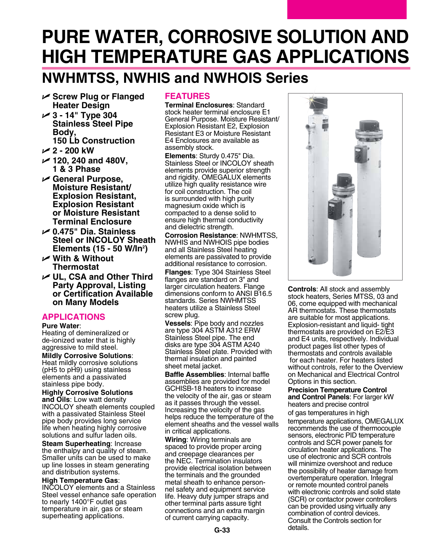# **Pure Water, Corrosive Solution and High Temperature Gas Applications**

# **NWHMTSS, NWHIS and NWHOIS Series**

- U **Screw Plug or Flanged Heater Design**
- U **3 14" Type 304 Stainless Steel Pipe Body, 150 Lb Construction**
- U **2 200 kW**
- U **120, 240 and 480V, 1 & 3 Phase**
- U **General Purpose, Moisture Resistant/ Explosion Resistant, Explosion Resistant or Moisture Resistant Terminal Enclosure**
- U **0.475" Dia. Stainless Steel or INCOLOY Sheath Elements (15 - 50 W/In2 )**
- U **With & Without Thermostat**
- $⊯$  **UL, CSA and Other Third Party Approval, Listing or Certification Available on Many Models**

## **Applications**

### **Pure Water**:

Heating of demineralized or de-ionized water that is highly aggressive to mild steel.

**Mildly Corrosive Solutions**: Heat mildly corrosive solutions (pH5 to pH9) using stainless elements and a passivated stainless pipe body.

**Highly Corrosive Solutions and Oils**: Low watt density INCOLOY sheath elements coupled with a passivated Stainless Steel pipe body provides long service life when heating highly corrosive solutions and sulfur laden oils.

**Steam Superheating**: Increase the enthalpy and quality of steam. Smaller units can be used to make up line losses in steam generating and distribution systems.

### **High Temperature Gas**:

INCOLOY elements and a Stainless Steel vessel enhance safe operation to nearly 1400°F outlet gas temperature in air, gas or steam superheating applications.

## **Features**

**Terminal Enclosures**: Standard stock heater terminal enclosure E1 General Purpose. Moisture Resistant/ Explosion Resistant E2, Explosion Resistant E3 or Moisture Resistant E4 Enclosures are available as assembly stock.

**Elements**: Sturdy 0.475" Dia. Stainless Steel or **INCOLOY** sheath elements provide superior strength and rigidity. OMEGALUX elements utilize high quality resistance wire for coil construction. The coil is surrounded with high purity magnesium oxide which is compacted to a dense solid to ensure high thermal conductivity and dielectric strength.

**Corrosion Resistance**: NWHMTSS, NWHIS and NWHOIS pipe bodies and all Stainless Steel heating elements are passivated to provide additional resistance to corrosion.

**Flanges**: Type 304 Stainless Steel flanges are standard on 3" and larger circulation heaters. Flange dimensions conform to ANSI B16.5 standards. Series NWHMTSS heaters utilize a Stainless Steel screw plug.

**Vessels**: Pipe body and nozzles are type 304 ASTM A312 ERW Stainless Steel pipe. The end disks are type 304 ASTM A240 Stainless Steel plate. Provided with thermal insulation and painted sheet metal jacket.

**Baffle Assemblies**: Internal baffle assemblies are provided for model GCHISB-18 heaters to increase the velocity of the air, gas or steam as it passes through the vessel. Increasing the velocity of the gas helps reduce the temperature of the element sheaths and the vessel walls in critical applications.

**Wiring**: Wiring terminals are spaced to provide proper arcing and creepage clearances per the NEC. Termination insulators provide electrical isolation between the terminals and the grounded metal sheath to enhance personnel safety and equipment service life. Heavy duty jumper straps and other terminal parts assure tight connections and an extra margin of current carrying capacity.



**Controls**: All stock and assembly stock heaters, Series MTSS, 03 and 06, come equipped with mechanical AR thermostats. These thermostats are suitable for most applications. Explosion-resistant and liquid- tight thermostats are provided on E2/E3 and E4 units, respectively. Individual product pages list other types of thermostats and controls available for each heater. For heaters listed without controls, refer to the Overview on Mechanical and Electrical Control Options in this section.

**Precision Temperature Control and Control Panels**: For larger kW heaters and precise control of gas temperatures in high

temperature applications, OMEGALUX recommends the use of thermocouple sensors, electronic PID temperature controls and SCR power panels for circulation heater applications. The use of electronic and SCR controls will minimize overshoot and reduce the possibility of heater damage from overtemperature operation. Integral or remote mounted control panels with electronic controls and solid state (SCR) or contactor power controllers can be provided using virtually any combination of control devices. Consult the Controls section for details.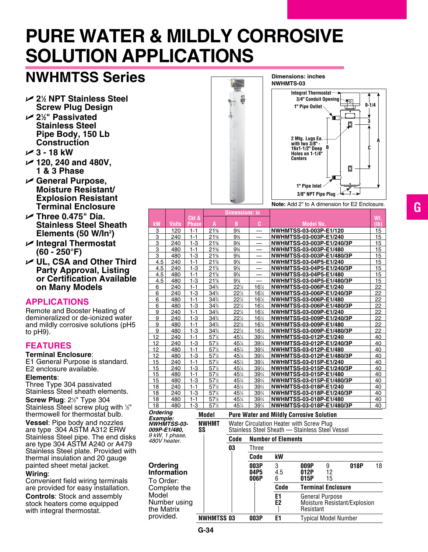# **Pure Water & Mildly Corrosive Solution Applications**

# **NWHMTSS Series**

- U **21 ⁄2 NPT Stainless Steel Screw Plug Design**
- U **21 ⁄2" Passivated Stainless Steel Pipe Body, 150 Lb Construction**
- U **3 18 kW**
- U **120, 240 and 480V, 1 & 3 Phase**
- U **General Purpose, Moisture Resistant/ Explosion Resistant Terminal Enclosure**
- U **Three 0.475" Dia. Stainless Steel Sheath Elements (50 W/In2 )**
- U **Integral Thermostat (60 - 250°F)**
- $⊯$  **UL, CSA and Other Third Party Approval, Listing or Certification Available on Many Models**

## **Applications**

Remote and Booster Heating of demineralized or de-ionized water and mildly corrosive solutions (pH5 to pH9).

## **Features**

## **Terminal Enclosure**:

E1 General Purpose is standard. E2 enclosure available.

### **Elements**:

Three Type 304 passivated Stainless Steel sheath elements.

**Screw Plug: 2<sup>1/2</sup> Type 304** Stainless Steel screw plug with 1/2" thermowell for thermostat bulb.

**Vessel**: Pipe body and nozzles are type 304 ASTM A312 ERW Stainless Steel pipe. The end disks are type 304 ASTM A240 or A479 Stainless Steel plate. Provided with thermal insulation and 20 gauge painted sheet metal jacket.

### **Wiring**:

Convenient field wiring terminals are provided for easy installation.

**Controls**: Stock and assembly stock heaters come equipped with integral thermostat.



**Dimensions: inches**

**Note:** Add 2" to A dimension for E2 Enclosure.

|                                                                                                               |              |                       |                                                                                             | <b>Dimensions: in</b> |                 |                                                                                             |                                  |      |    |                          |
|---------------------------------------------------------------------------------------------------------------|--------------|-----------------------|---------------------------------------------------------------------------------------------|-----------------------|-----------------|---------------------------------------------------------------------------------------------|----------------------------------|------|----|--------------------------|
| kW                                                                                                            | <b>Volts</b> | Ckt &<br><b>Phase</b> | A                                                                                           | B                     | C               |                                                                                             | <b>Model No.</b>                 |      |    | Wt.<br>(1 <sub>b</sub> ) |
| 3                                                                                                             | 120          | $1 - 1$               | 21%                                                                                         | 9%                    |                 |                                                                                             | NWHMTSS-03-003P-E1/120           |      |    | 15                       |
| 3                                                                                                             | 240          | $1 - 1$               | 21%                                                                                         | 9%                    |                 |                                                                                             | NWHMTSS-03-003P-E1/240           |      |    | 15                       |
| 3                                                                                                             | 240          | $1 - 3$               | 21%                                                                                         | 9%                    |                 |                                                                                             | <b>NWHMTSS-03-003P-E1/240/3P</b> |      |    | 15                       |
| 3                                                                                                             | 480          | $1 - 1$               | 21%                                                                                         | 9%                    |                 |                                                                                             | NWHMTSS-03-003P-E1/480           |      |    | 15                       |
| 3                                                                                                             | 480          | $1 - 3$               | 21%                                                                                         | 9%                    |                 |                                                                                             | NWHMTSS-03-003P-E1/480/3P        |      |    | 15                       |
| 4.5                                                                                                           | 240          | $1 - 1$               | 21%                                                                                         | 9%                    |                 |                                                                                             | NWHMTSS-03-04P5-E1/240           |      |    | 15                       |
| 4.5                                                                                                           | 240          | $1 - 3$               | 21%                                                                                         | 9%                    |                 |                                                                                             | NWHMTSS-03-04P5-E1/240/3P        |      |    | 15                       |
| 4.5                                                                                                           | 480          | $1 - 1$               | 21%                                                                                         | $9\%$                 |                 |                                                                                             | <b>NWHMTSS-03-04P5-E1/480</b>    |      |    | 15                       |
| 4.5                                                                                                           | 480          | $1 - 3$               | 21%                                                                                         | 9%                    |                 |                                                                                             | <b>NWHMTSS-03-04P5-E1/480/3P</b> |      |    | 15                       |
| 6                                                                                                             | 240          | $1 - 1$               | 34%                                                                                         | 22%                   | 16%             |                                                                                             | NWHMTSS-03-006P-E1/240           |      |    | 22                       |
| 6                                                                                                             | 240          | $1 - 3$               | 34%                                                                                         | 22%                   | 16½             |                                                                                             | NWHMTSS-03-006P-E1/240/3P        |      |    | 22                       |
| 6                                                                                                             | 480          | $1 - 1$               | 34%                                                                                         | 22%                   | 16%             |                                                                                             | NWHMTSS-03-006P-E1/480           |      |    | 22                       |
| 6                                                                                                             | 480          | $1 - 3$               | 34%                                                                                         | 22%                   | 16%             |                                                                                             | NWHMTSS-03-006P-E1/480/3P        |      |    | 22                       |
| 9                                                                                                             | 240          | $1 - 1$               | 34%                                                                                         | 22%                   | 16%             |                                                                                             | NWHMTSS-03-009P-E1/240           |      |    | 22                       |
| 9                                                                                                             | 240          | $1 - 3$               | 34%                                                                                         | 22%                   | 16%             |                                                                                             | NWHMTSS-03-009P-E1/240/3P        |      |    | 22                       |
| 9                                                                                                             | 480          | $1 - 1$               | 34%                                                                                         | 22%                   | 16%             |                                                                                             | NWHMTSS-03-009P-E1/480           |      |    | 22                       |
| 9                                                                                                             | 480          | $1 - 3$               | 34%                                                                                         | 22%                   | 16½             |                                                                                             | NWHMTSS-03-009P-E1/480/3P        |      |    | 22                       |
| 12                                                                                                            | 240          | $1 - 1$               | 57½                                                                                         | 45%                   | 39%             |                                                                                             | <b>NWHMTSS-03-012P-E1/240</b>    |      |    | 40                       |
| 12                                                                                                            | 240          | $1 - 3$               | 57%                                                                                         | 45%                   | 39%             |                                                                                             | NWHMTSS-03-012P-E1/240/3P        |      |    | 40                       |
| 12                                                                                                            | 480          | $1 - 1$               | 57%                                                                                         | 45%                   | 39%             |                                                                                             | <b>NWHMTSS-03-012P-E1/480</b>    |      |    | 40                       |
| 12                                                                                                            | 480          | $1 - 3$               | 57%                                                                                         | 45%                   | 39%             |                                                                                             | NWHMTSS-03-012P-E1/480/3P        |      |    | 40                       |
| 15                                                                                                            | 240          | $1 - 1$               | 57%                                                                                         | 45%                   | 39%             |                                                                                             | <b>NWHMTSS-03-015P-E1/240</b>    |      |    | 40                       |
| 15                                                                                                            | 240          | $1 - 3$               | 57%                                                                                         | 45%                   | 39%             |                                                                                             | NWHMTSS-03-015P-E1/240/3P        |      |    | 40                       |
| 15                                                                                                            | 480          | $1 - 1$               | 57%                                                                                         | 45%                   | 39%             |                                                                                             | NWHMTSS-03-015P-E1/480           |      |    | 40                       |
| 15                                                                                                            | 480          | $1 - 3$               | $57\frac{1}{2}$                                                                             | 45%                   | 391/4           |                                                                                             | NWHMTSS-03-015P-E1/480/3P        |      |    | 40                       |
| 18                                                                                                            | 240          | $1 - 1$               | 57%                                                                                         | 451/4                 | 39%             |                                                                                             | NWHMTSS-03-018P-E1/240           |      |    | 40                       |
| 18                                                                                                            | 240          | $1 - 3$               | 57%                                                                                         | 45%                   | 39%             |                                                                                             | NWHMTSS-03-018P-E1/240/3P        |      |    | 40                       |
| 18                                                                                                            | 480          | $1 - 1$               | 57%                                                                                         | 45%                   | 39%             |                                                                                             | NWHMTSS-03-018P-E1/480           |      |    | 40                       |
| 18                                                                                                            | 480          | $1 - 3$               | 57%                                                                                         | 451/4                 | $39\frac{1}{4}$ |                                                                                             | NWHMTSS-03-018P-E1/480/3P        |      |    | 40                       |
| <b>Ordering</b><br><b>Model</b>                                                                               |              |                       |                                                                                             |                       |                 | <b>Pure Water and Mildly Corrosive Solution</b>                                             |                                  |      |    |                          |
| Example:<br><b>NWHMT</b><br><i><b>NWHMTSS-03-</b></i><br>009P-E1/480.<br>SS<br>9 kW, 1 phase,<br>480V heater. |              |                       | Water Circulation Heater with Screw Plug<br>Stainless Steel Sheath - Stainless Steel Vessel |                       |                 |                                                                                             |                                  |      |    |                          |
|                                                                                                               |              |                       |                                                                                             | Code                  |                 | <b>Number of Elements</b>                                                                   |                                  |      |    |                          |
|                                                                                                               |              |                       |                                                                                             | 03                    | Three           |                                                                                             |                                  |      |    |                          |
|                                                                                                               |              |                       |                                                                                             |                       | Code            | kW                                                                                          |                                  |      |    |                          |
| Ordering<br><b>Information</b><br>To Order:                                                                   |              |                       |                                                                                             | 003P<br>04P5<br>006P  | 3<br>4.5<br>6   | 009P<br>012P<br>015P                                                                        | 9<br>12<br>15                    | 018P | 18 |                          |
| Complete the                                                                                                  |              |                       |                                                                                             |                       | Code            | <b>Terminal Enclosure</b>                                                                   |                                  |      |    |                          |
| Model<br>Number using<br>the Matrix<br>provided.                                                              |              |                       |                                                                                             |                       |                 | E1<br><b>General Purpose</b><br>E <sub>2</sub><br>Moisture Resistant/Explosion<br>Resistant |                                  |      |    |                          |
|                                                                                                               |              |                       | <b>NWHMTSS 03</b>                                                                           |                       | 003P            | E <sub>1</sub>                                                                              | <b>Typical Model Number</b>      |      |    |                          |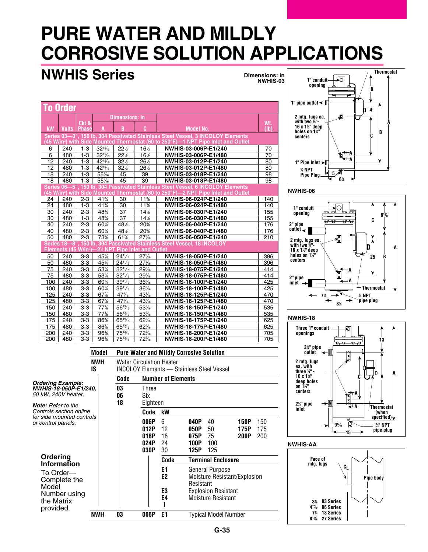# **Pure Water and Mildly Corrosive Solution Applications**

# **NWHIS Series**

**Dimensions: in NWHIS-03**

| <b>To Order</b>                                                                                                                              |                     |                       |                                  |                                 |                 |                                                                                                |                          |  |  |
|----------------------------------------------------------------------------------------------------------------------------------------------|---------------------|-----------------------|----------------------------------|---------------------------------|-----------------|------------------------------------------------------------------------------------------------|--------------------------|--|--|
|                                                                                                                                              |                     |                       |                                  | <b>Dimensions: in</b><br>B<br>c |                 |                                                                                                |                          |  |  |
| kW                                                                                                                                           | <b>Volts</b>        | Ckt &<br><b>Phase</b> | A                                |                                 |                 | <b>Model No.</b>                                                                               | Wt.<br>(1 <sub>b</sub> ) |  |  |
|                                                                                                                                              |                     |                       |                                  |                                 |                 | Series 03-3", 150 lb. 304 Passivated Stainless Steel Vessel, 3 INCOLOY Elements                |                          |  |  |
|                                                                                                                                              |                     |                       |                                  |                                 |                 | (45 W/in²) with Side Mounted Thermostat (60 to 250°F)—1 NPT Pipe Inlet and Outlet              |                          |  |  |
| 6                                                                                                                                            | 240                 | $1 - 3$               | $32^{15}/16$                     | 221/2                           | 16%             | NWHIS-03-006P-E1/240                                                                           | 70                       |  |  |
| $\overline{6}$                                                                                                                               | 480                 | $1 - 3$               | 32 <sup>15</sup> / <sub>6</sub>  | 22%                             | 16%             | NWHIS-03-006P-E1/480                                                                           | $\overline{70}$          |  |  |
| $\overline{12}$                                                                                                                              | 240                 | $1 - 3$               | 42 <sup>15</sup> / <sub>16</sub> | 32½                             | 26½             | NWHIS-03-012P-E1/240                                                                           | 80                       |  |  |
| 12                                                                                                                                           | 480                 | $1 - 3$               | 42 <sup>15</sup> / <sub>16</sub> | 32%                             | 26½             | NWHIS-03-012P-E1/480                                                                           | 80                       |  |  |
| 18                                                                                                                                           | 240                 | $1 - 3$               | 55%                              | 45                              | 39              | NWHIS-03-018P-E1/240                                                                           | 98                       |  |  |
| $\overline{18}$                                                                                                                              | 480                 | $1 - 3$               | 55%                              | 45                              | $\overline{39}$ | NWHIS-03-018P-E1/480                                                                           | 98                       |  |  |
|                                                                                                                                              | <b>Series 06-5'</b> |                       |                                  |                                 |                 | 150 lb. 304 Passivated Stainless Steel Vessel, 6 INCOLOY Elements                              |                          |  |  |
|                                                                                                                                              |                     |                       |                                  |                                 |                 | (45 W/in <sup>2</sup> ) with Side Mounted Thermostat (60 to 250°F)—2 NPT Pipe Inlet and Outlet |                          |  |  |
| 24                                                                                                                                           | 240                 | $2 - 3$               | 41%                              | 30                              | 11%             | NWHIS-06-024P-E1/240                                                                           | 140                      |  |  |
| $\overline{24}$                                                                                                                              | 480                 | $1-3$                 | 41%                              | $\overline{30}$                 | 11%             | NWHIS-06-024P-E1/480                                                                           | 140                      |  |  |
| $\overline{30}$                                                                                                                              | $\overline{240}$    | $2 - 3$               | 48%                              | $\overline{37}$                 | 14%             | NWHIS-06-030P-E1/240                                                                           | 155                      |  |  |
| $\overline{30}$                                                                                                                              | 480                 | $1-3$                 | 48%                              | $\overline{37}$                 | 14%             | NWHIS-06-030P-E1/480                                                                           | 155                      |  |  |
| 40                                                                                                                                           | 240                 | $2 - 3$               | 60%                              | 48½                             | 20%             | NWHIS-06-040P-E1/240                                                                           | 176                      |  |  |
| $\overline{40}$                                                                                                                              | 480                 | $2 - 3$               | 60%                              | 481/2                           | 20%             | NWHIS-06-040P-E1/480                                                                           | 176                      |  |  |
| 50                                                                                                                                           | 480                 | $2 - 3$               | 73%                              | 61%                             | 27%             | NWHIS-06-050P-E1/240                                                                           | 210                      |  |  |
| Series 18-8", 150 lb. 304 Passivated Stainless Steel Vessel, 18 INCOLOY<br>Elements (45 W/in <sup>2</sup> )<br>-2% NPT Pipe Inlet and Outlet |                     |                       |                                  |                                 |                 |                                                                                                |                          |  |  |
| 50                                                                                                                                           | 240                 | $3 - 3$               | 45%                              | $24^{11}/16$                    | 27%             | NWHIS-18-050P-E1/240                                                                           | 396                      |  |  |
| 50                                                                                                                                           | 480                 | $3-3$                 | 451/4                            | $24^{11}/16$                    | 27%             | NWHIS-18-050P-E1/480                                                                           | 396                      |  |  |
| 75                                                                                                                                           | 240                 | $3-3$                 | 531/4                            | $32^{11}/16$                    | 29%             | NWHIS-18-075P-E1/240                                                                           | 414                      |  |  |
| 75                                                                                                                                           | 480                 | $3-3$                 | 531/4                            | $32^{11}/16$                    | 29%             | NWHIS-18-075P-E1/480                                                                           | 414                      |  |  |
| 100                                                                                                                                          | 240                 | $3 - 3$               | 60%                              | $39^{11}/16$                    | $36\%$          | NWHIS-18-100P-E1/240                                                                           | 425                      |  |  |
| 100                                                                                                                                          | 480                 | $3-3$                 | 60%                              | $39^{11}/6$                     | $36\%$          | NWHIS-18-100P-E1/480                                                                           | 425                      |  |  |
| 125                                                                                                                                          | 240                 | $3 - 3$               | 67%                              | 47%                             | 43%             | NWHIS-18-125P-E1/240                                                                           | 470                      |  |  |
| 125                                                                                                                                          | 480                 | $3-3$                 | 67%                              | 47%                             | 43%             | NWHIS-18-125P-E1/480                                                                           | 470                      |  |  |
| 150                                                                                                                                          | 240                 | $3-3$                 | 77%                              | $56^{13}/16$                    | 53%             | NWHIS-18-150P-E1/240                                                                           | 535                      |  |  |
| 150                                                                                                                                          | 480                 | $3 - 3$               | 77%                              | 561%                            | 53%             | NWHIS-18-150P-E1/480                                                                           | 535                      |  |  |
| 175                                                                                                                                          | 240                 | $3 - 3$               | 86%                              | $65^{13}/6$                     | 62%             | NWHIS-18-175P-E1/240                                                                           | 625                      |  |  |
| 175                                                                                                                                          | 480                 | $3-3$                 | 86%                              | $65^{13}/16$                    | 62%             | NWHIS-18-175P-E1/480                                                                           | 625                      |  |  |
| 200                                                                                                                                          | 240                 | $3-3$                 | 96%                              | $75^{13}/_{16}$                 | $72\%$          | NWHIS-18-200P-E1/240                                                                           | 705                      |  |  |
| 200                                                                                                                                          | 480                 | $3 - 3$               | 96%                              | $75^{13}/16$                    | 72%             | NWHIS-18-200P-E1/480                                                                           | 705                      |  |  |
|                                                                                                                                              |                     |                       |                                  |                                 |                 |                                                                                                |                          |  |  |
|                                                                                                                                              |                     |                       | <b>Model</b>                     |                                 |                 | <b>Pure Water and Mildly Corrosive Solution</b>                                                |                          |  |  |
|                                                                                                                                              |                     |                       | <b>NWH</b>                       |                                 |                 | <b>Water Circulation Heater</b>                                                                |                          |  |  |



#### **NWHIS-06**



#### **NWHIS-18**







### *Ordering Example: NWHIS-18-050P-E1/240, 50 kW, 240V heater.*

*Note: Refer to the Controls section online for side mounted controls or control panels.*

## **Ordering Information**

To Order— Complete the Model Number using the Matrix provided.

| IS  |                | <b>INCOLOY Elements - Stainless Steel Vessel</b> |                           |                                                                                         |                                           |  |  |  |  |  |
|-----|----------------|--------------------------------------------------|---------------------------|-----------------------------------------------------------------------------------------|-------------------------------------------|--|--|--|--|--|
|     | Code           | <b>Number of Elements</b>                        |                           |                                                                                         |                                           |  |  |  |  |  |
| 40. | 03<br>06<br>18 | Three<br>Six<br>Eighteen                         |                           |                                                                                         |                                           |  |  |  |  |  |
| ols |                | Code                                             | kW                        |                                                                                         |                                           |  |  |  |  |  |
|     |                | 006P<br>012P<br>018P<br>024P<br>030P             | 6<br>12<br>18<br>24<br>30 | 040P<br>40<br>050P<br>50<br>75<br>075P<br>100P<br>100<br>125P<br>125                    | 150P<br>150<br>175P<br>175<br>200P<br>200 |  |  |  |  |  |
|     |                |                                                  | Code                      | <b>Terminal Enclosure</b>                                                               |                                           |  |  |  |  |  |
|     |                |                                                  | E1<br>E2<br>E3<br>E4      | General Purpose<br>Resistant<br><b>Explosion Resistant</b><br><b>Moisture Resistant</b> | Moisture Resistant/Explosion              |  |  |  |  |  |
| NWH | 03             | 006P                                             | E1                        | <b>Typical Model Number</b>                                                             |                                           |  |  |  |  |  |